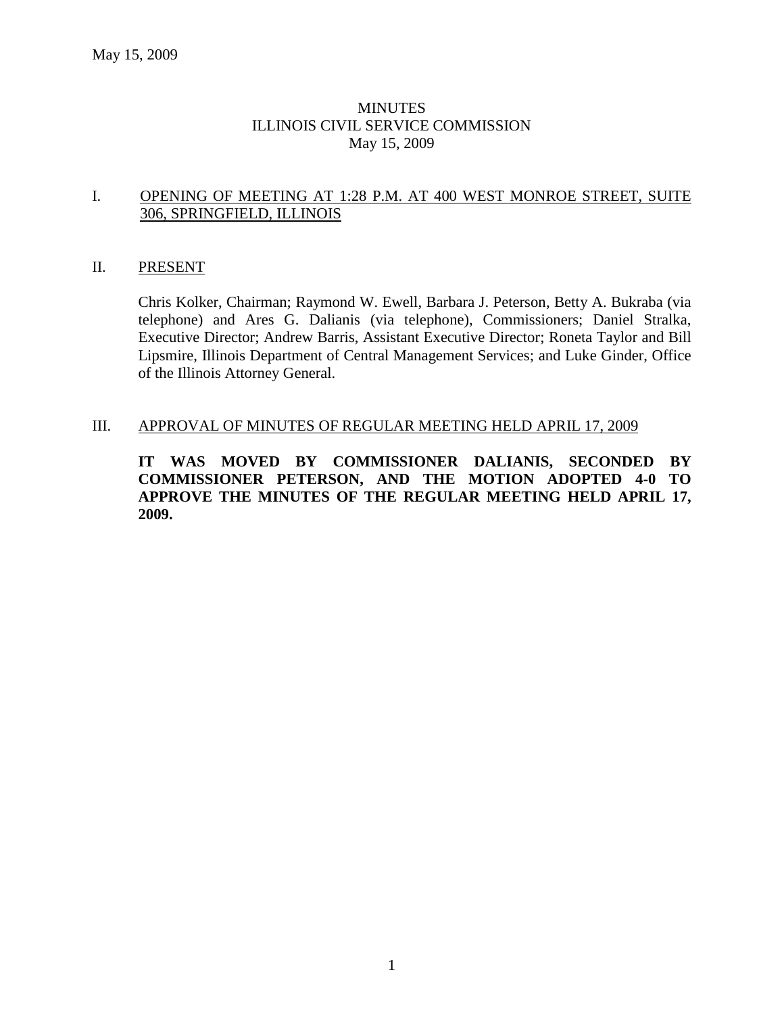### **MINUTES** ILLINOIS CIVIL SERVICE COMMISSION May 15, 2009

#### I. OPENING OF MEETING AT 1:28 P.M. AT 400 WEST MONROE STREET, SUITE 306, SPRINGFIELD, ILLINOIS

#### II. PRESENT

Chris Kolker, Chairman; Raymond W. Ewell, Barbara J. Peterson, Betty A. Bukraba (via telephone) and Ares G. Dalianis (via telephone), Commissioners; Daniel Stralka, Executive Director; Andrew Barris, Assistant Executive Director; Roneta Taylor and Bill Lipsmire, Illinois Department of Central Management Services; and Luke Ginder, Office of the Illinois Attorney General.

#### III. APPROVAL OF MINUTES OF REGULAR MEETING HELD APRIL 17, 2009

**IT WAS MOVED BY COMMISSIONER DALIANIS, SECONDED BY COMMISSIONER PETERSON, AND THE MOTION ADOPTED 4-0 TO APPROVE THE MINUTES OF THE REGULAR MEETING HELD APRIL 17, 2009.**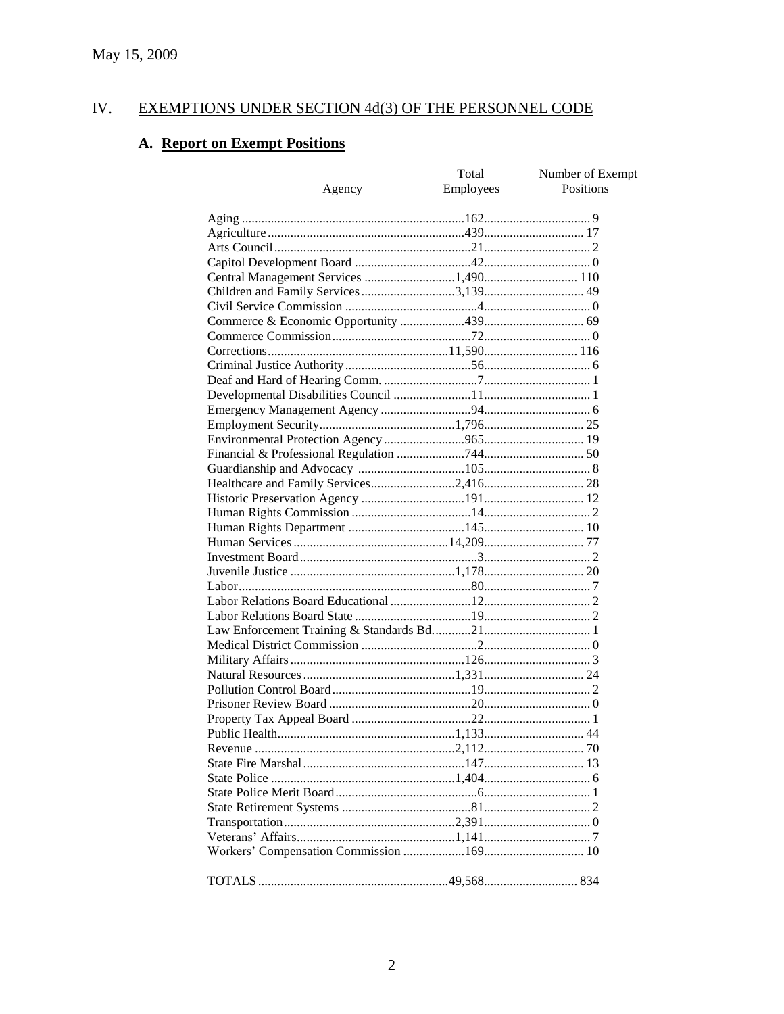#### EXEMPTIONS UNDER SECTION 4d(3) OF THE PERSONNEL CODE IV.

# A. Report on Exempt Positions

| <u>Agency</u>                         | Total<br><b>Employees</b> | Number of Exempt<br>Positions |
|---------------------------------------|---------------------------|-------------------------------|
|                                       |                           |                               |
|                                       |                           |                               |
|                                       |                           |                               |
|                                       |                           |                               |
| Central Management Services 1,490 110 |                           |                               |
|                                       |                           |                               |
|                                       |                           |                               |
|                                       |                           |                               |
|                                       |                           |                               |
|                                       |                           |                               |
|                                       |                           |                               |
|                                       |                           |                               |
|                                       |                           |                               |
|                                       |                           |                               |
|                                       |                           |                               |
|                                       |                           |                               |
|                                       |                           |                               |
|                                       |                           |                               |
|                                       |                           |                               |
|                                       |                           |                               |
|                                       |                           |                               |
|                                       |                           |                               |
|                                       |                           |                               |
|                                       |                           |                               |
|                                       |                           |                               |
|                                       |                           |                               |
|                                       |                           |                               |
|                                       |                           |                               |
|                                       |                           |                               |
|                                       |                           |                               |
|                                       |                           |                               |
|                                       |                           |                               |
|                                       |                           |                               |
|                                       |                           |                               |
|                                       |                           |                               |
|                                       |                           |                               |
|                                       |                           |                               |
|                                       |                           |                               |
|                                       |                           |                               |
|                                       |                           |                               |
|                                       |                           |                               |
|                                       |                           |                               |
|                                       |                           |                               |
|                                       |                           |                               |
|                                       |                           |                               |
|                                       |                           |                               |
|                                       |                           |                               |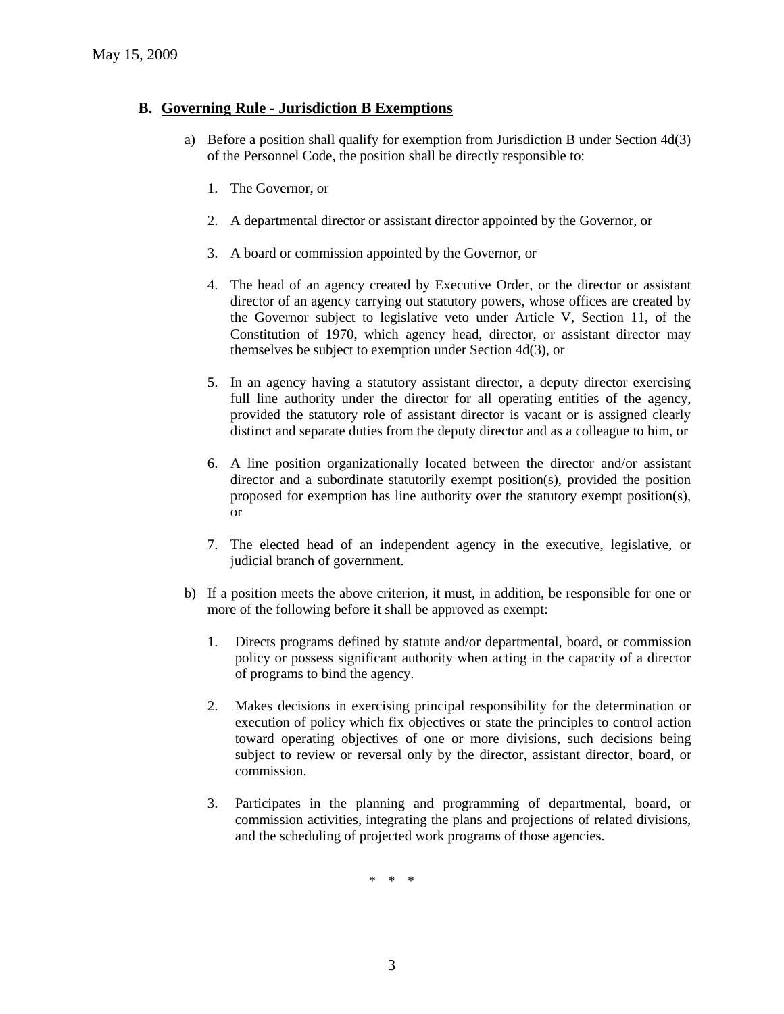### **B. Governing Rule - Jurisdiction B Exemptions**

- a) Before a position shall qualify for exemption from Jurisdiction B under Section 4d(3) of the Personnel Code, the position shall be directly responsible to:
	- 1. The Governor, or
	- 2. A departmental director or assistant director appointed by the Governor, or
	- 3. A board or commission appointed by the Governor, or
	- 4. The head of an agency created by Executive Order, or the director or assistant director of an agency carrying out statutory powers, whose offices are created by the Governor subject to legislative veto under Article V, Section 11, of the Constitution of 1970, which agency head, director, or assistant director may themselves be subject to exemption under Section 4d(3), or
	- 5. In an agency having a statutory assistant director, a deputy director exercising full line authority under the director for all operating entities of the agency, provided the statutory role of assistant director is vacant or is assigned clearly distinct and separate duties from the deputy director and as a colleague to him, or
	- 6. A line position organizationally located between the director and/or assistant director and a subordinate statutorily exempt position(s), provided the position proposed for exemption has line authority over the statutory exempt position(s), or
	- 7. The elected head of an independent agency in the executive, legislative, or judicial branch of government.
- b) If a position meets the above criterion, it must, in addition, be responsible for one or more of the following before it shall be approved as exempt:
	- 1. Directs programs defined by statute and/or departmental, board, or commission policy or possess significant authority when acting in the capacity of a director of programs to bind the agency.
	- 2. Makes decisions in exercising principal responsibility for the determination or execution of policy which fix objectives or state the principles to control action toward operating objectives of one or more divisions, such decisions being subject to review or reversal only by the director, assistant director, board, or commission.
	- 3. Participates in the planning and programming of departmental, board, or commission activities, integrating the plans and projections of related divisions, and the scheduling of projected work programs of those agencies.

\* \* \*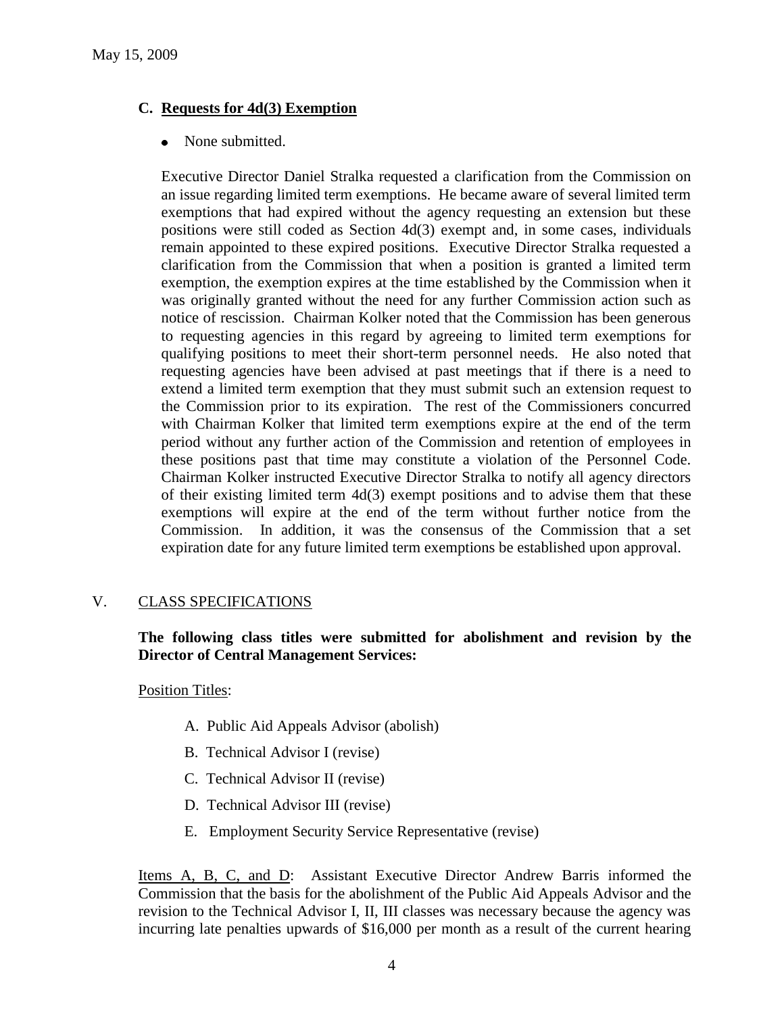# **C. Requests for 4d(3) Exemption**

• None submitted.

Executive Director Daniel Stralka requested a clarification from the Commission on an issue regarding limited term exemptions. He became aware of several limited term exemptions that had expired without the agency requesting an extension but these positions were still coded as Section 4d(3) exempt and, in some cases, individuals remain appointed to these expired positions. Executive Director Stralka requested a clarification from the Commission that when a position is granted a limited term exemption, the exemption expires at the time established by the Commission when it was originally granted without the need for any further Commission action such as notice of rescission. Chairman Kolker noted that the Commission has been generous to requesting agencies in this regard by agreeing to limited term exemptions for qualifying positions to meet their short-term personnel needs. He also noted that requesting agencies have been advised at past meetings that if there is a need to extend a limited term exemption that they must submit such an extension request to the Commission prior to its expiration. The rest of the Commissioners concurred with Chairman Kolker that limited term exemptions expire at the end of the term period without any further action of the Commission and retention of employees in these positions past that time may constitute a violation of the Personnel Code. Chairman Kolker instructed Executive Director Stralka to notify all agency directors of their existing limited term 4d(3) exempt positions and to advise them that these exemptions will expire at the end of the term without further notice from the Commission. In addition, it was the consensus of the Commission that a set expiration date for any future limited term exemptions be established upon approval.

# V. CLASS SPECIFICATIONS

**The following class titles were submitted for abolishment and revision by the Director of Central Management Services:**

Position Titles:

- A. Public Aid Appeals Advisor (abolish)
- B. Technical Advisor I (revise)
- C. Technical Advisor II (revise)
- D. Technical Advisor III (revise)
- E. Employment Security Service Representative (revise)

Items A, B, C, and D: Assistant Executive Director Andrew Barris informed the Commission that the basis for the abolishment of the Public Aid Appeals Advisor and the revision to the Technical Advisor I, II, III classes was necessary because the agency was incurring late penalties upwards of \$16,000 per month as a result of the current hearing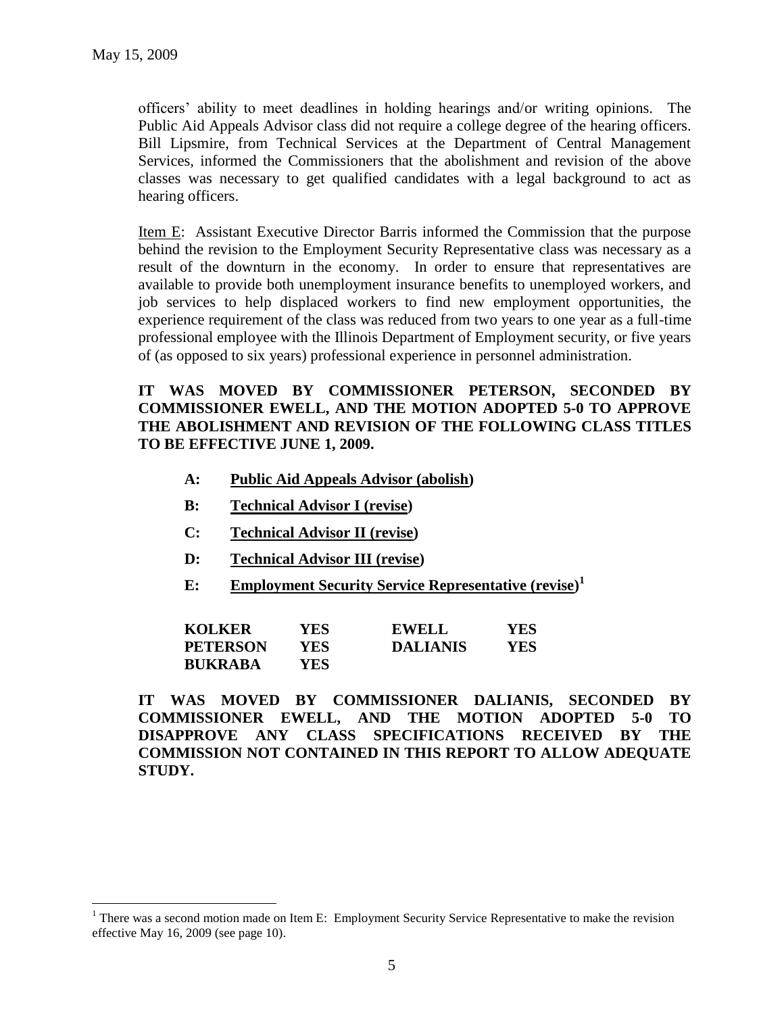$\overline{a}$ 

officers' ability to meet deadlines in holding hearings and/or writing opinions. The Public Aid Appeals Advisor class did not require a college degree of the hearing officers. Bill Lipsmire, from Technical Services at the Department of Central Management Services, informed the Commissioners that the abolishment and revision of the above classes was necessary to get qualified candidates with a legal background to act as hearing officers.

Item E: Assistant Executive Director Barris informed the Commission that the purpose behind the revision to the Employment Security Representative class was necessary as a result of the downturn in the economy. In order to ensure that representatives are available to provide both unemployment insurance benefits to unemployed workers, and job services to help displaced workers to find new employment opportunities, the experience requirement of the class was reduced from two years to one year as a full-time professional employee with the Illinois Department of Employment security, or five years of (as opposed to six years) professional experience in personnel administration.

# **IT WAS MOVED BY COMMISSIONER PETERSON, SECONDED BY COMMISSIONER EWELL, AND THE MOTION ADOPTED 5-0 TO APPROVE THE ABOLISHMENT AND REVISION OF THE FOLLOWING CLASS TITLES TO BE EFFECTIVE JUNE 1, 2009.**

- **A: Public Aid Appeals Advisor (abolish)**
- **B: Technical Advisor I (revise)**
- **C: Technical Advisor II (revise)**
- **D: Technical Advisor III (revise)**
- **E: Employment Security Service Representative (revise) 1**

| <b>KOLKER</b>   | YES  | <b>EWELL</b>    | <b>YES</b> |
|-----------------|------|-----------------|------------|
| <b>PETERSON</b> | YES. | <b>DALIANIS</b> | YES        |
| <b>BUKRABA</b>  | YES. |                 |            |

**IT WAS MOVED BY COMMISSIONER DALIANIS, SECONDED BY COMMISSIONER EWELL, AND THE MOTION ADOPTED 5-0 TO DISAPPROVE ANY CLASS SPECIFICATIONS RECEIVED BY THE COMMISSION NOT CONTAINED IN THIS REPORT TO ALLOW ADEQUATE STUDY.** 

<sup>&</sup>lt;sup>1</sup> There was a second motion made on Item E: Employment Security Service Representative to make the revision effective May 16, 2009 (see page 10).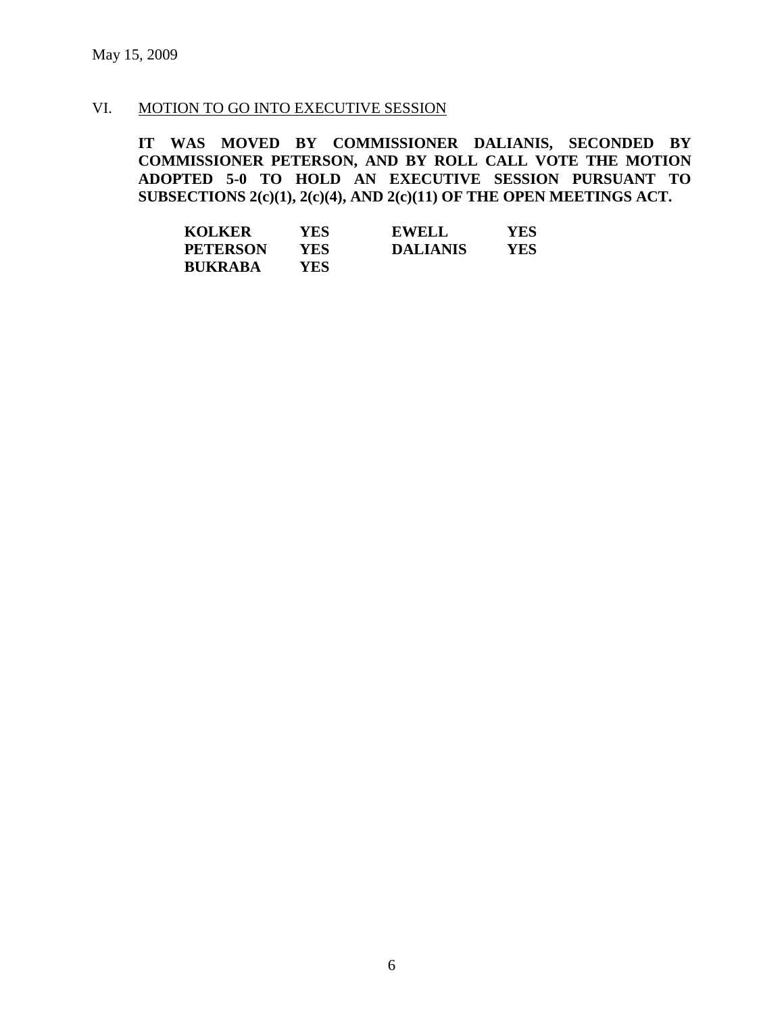# VI. MOTION TO GO INTO EXECUTIVE SESSION

**IT WAS MOVED BY COMMISSIONER DALIANIS, SECONDED BY COMMISSIONER PETERSON, AND BY ROLL CALL VOTE THE MOTION ADOPTED 5-0 TO HOLD AN EXECUTIVE SESSION PURSUANT TO SUBSECTIONS 2(c)(1), 2(c)(4), AND 2(c)(11) OF THE OPEN MEETINGS ACT.** 

| <b>KOLKER</b>   | <b>YES</b> | <b>EWELL</b>    | YES |
|-----------------|------------|-----------------|-----|
| <b>PETERSON</b> | YES.       | <b>DALIANIS</b> | YES |
| <b>BUKRABA</b>  | <b>YES</b> |                 |     |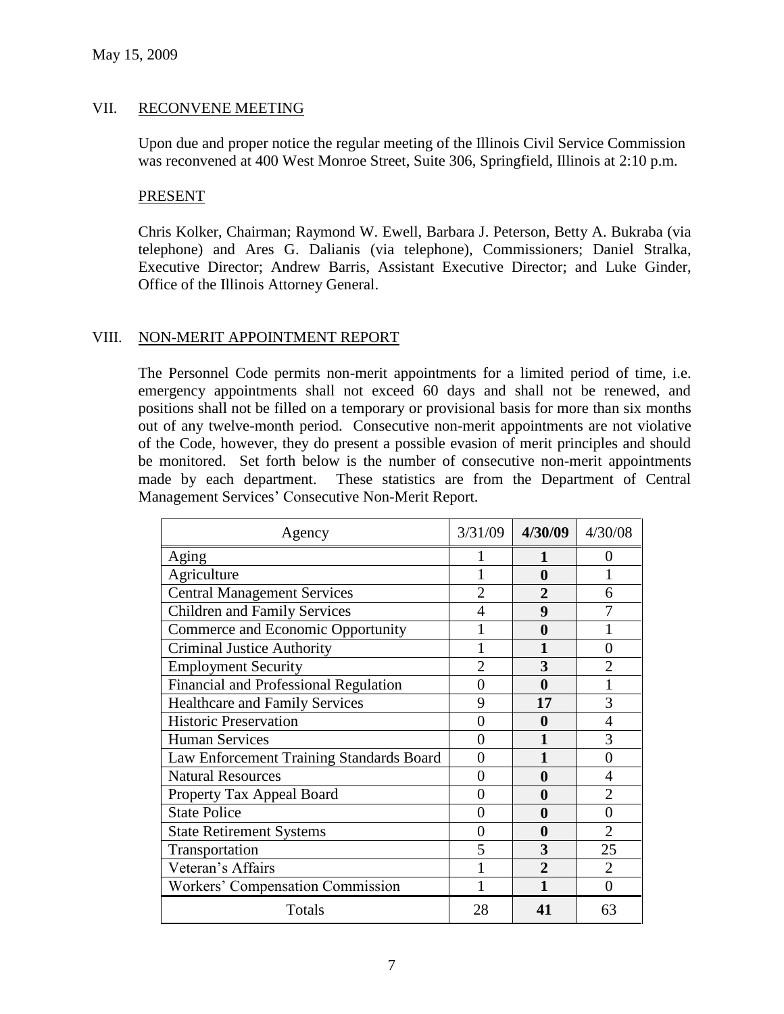### VII. RECONVENE MEETING

Upon due and proper notice the regular meeting of the Illinois Civil Service Commission was reconvened at 400 West Monroe Street, Suite 306, Springfield, Illinois at 2:10 p.m.

#### PRESENT

Chris Kolker, Chairman; Raymond W. Ewell, Barbara J. Peterson, Betty A. Bukraba (via telephone) and Ares G. Dalianis (via telephone), Commissioners; Daniel Stralka, Executive Director; Andrew Barris, Assistant Executive Director; and Luke Ginder, Office of the Illinois Attorney General.

#### VIII. NON-MERIT APPOINTMENT REPORT

The Personnel Code permits non-merit appointments for a limited period of time, i.e. emergency appointments shall not exceed 60 days and shall not be renewed, and positions shall not be filled on a temporary or provisional basis for more than six months out of any twelve-month period. Consecutive non-merit appointments are not violative of the Code, however, they do present a possible evasion of merit principles and should be monitored. Set forth below is the number of consecutive non-merit appointments made by each department. These statistics are from the Department of Central Management Services' Consecutive Non-Merit Report.

| Agency                                   | 3/31/09 | 4/30/09        | 4/30/08           |
|------------------------------------------|---------|----------------|-------------------|
| Aging                                    |         |                | $\mathbf{\Omega}$ |
| Agriculture                              |         | 0              |                   |
| <b>Central Management Services</b>       |         |                | 6                 |
| <b>Children and Family Services</b>      |         | 9              |                   |
| Commerce and Economic Opportunity        |         | 0              |                   |
| <b>Criminal Justice Authority</b>        |         |                | 0                 |
| <b>Employment Security</b>               |         | 3              |                   |
| Financial and Professional Regulation    | 0       | 0              |                   |
| Healthcare and Family Services           | 9       | 17             | 3                 |
| <b>Historic Preservation</b>             | 0       | 0              |                   |
| <b>Human Services</b>                    | 0       |                | 3                 |
| Law Enforcement Training Standards Board | 0       |                | 0                 |
| <b>Natural Resources</b>                 | 0       | 0              |                   |
| Property Tax Appeal Board                | 0       | 0              |                   |
| <b>State Police</b>                      | 0       | 0              | 0                 |
| <b>State Retirement Systems</b>          | 0       | 0              | $\overline{2}$    |
| Transportation                           | 5       | 3              | 25                |
| Veteran's Affairs                        |         | $\mathfrak{D}$ | $\overline{2}$    |
| Workers' Compensation Commission         |         |                | $\theta$          |
| Totals                                   | 28      | 41             | 63                |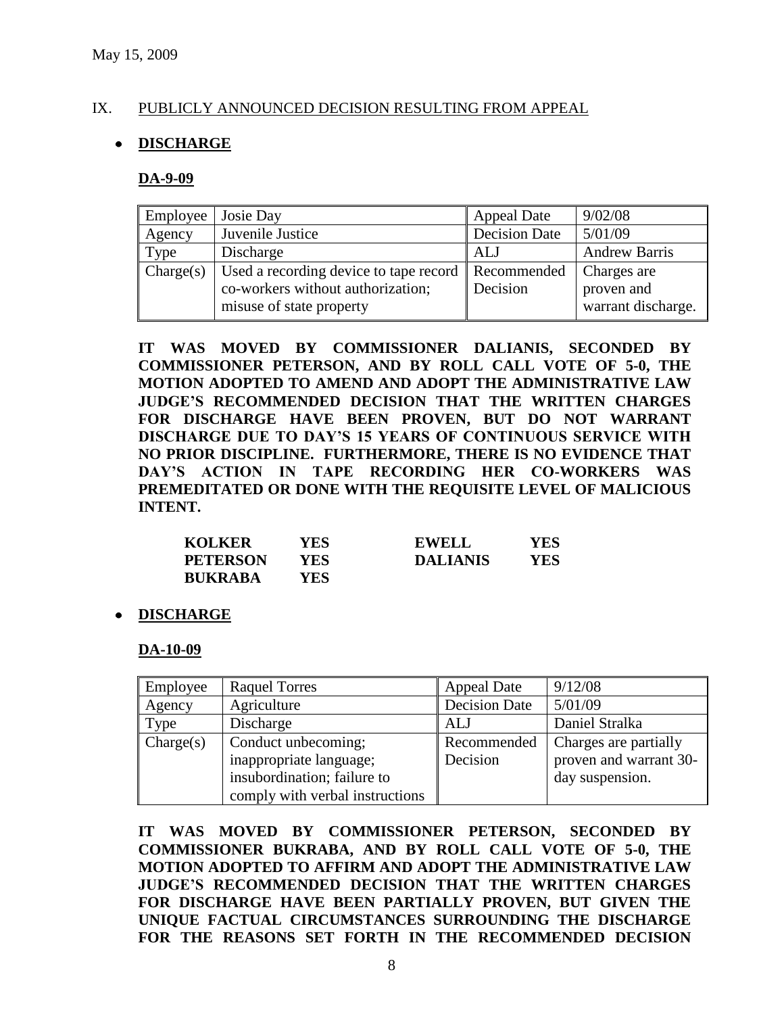### IX. PUBLICLY ANNOUNCED DECISION RESULTING FROM APPEAL

### **DISCHARGE**

#### **DA-9-09**

| Employee  | Josie Day                                                      | <b>Appeal Date</b>   | 9/02/08              |
|-----------|----------------------------------------------------------------|----------------------|----------------------|
| Agency    | Juvenile Justice                                               | <b>Decision Date</b> | 5/01/09              |
| Type      | Discharge                                                      | ALJ                  | <b>Andrew Barris</b> |
| Change(s) | Used a recording device to tape record $\parallel$ Recommended |                      | Charges are          |
|           | co-workers without authorization;                              | Decision             | proven and           |
|           | misuse of state property                                       |                      | warrant discharge.   |

**IT WAS MOVED BY COMMISSIONER DALIANIS, SECONDED BY COMMISSIONER PETERSON, AND BY ROLL CALL VOTE OF 5-0, THE MOTION ADOPTED TO AMEND AND ADOPT THE ADMINISTRATIVE LAW JUDGE'S RECOMMENDED DECISION THAT THE WRITTEN CHARGES FOR DISCHARGE HAVE BEEN PROVEN, BUT DO NOT WARRANT DISCHARGE DUE TO DAY'S 15 YEARS OF CONTINUOUS SERVICE WITH NO PRIOR DISCIPLINE. FURTHERMORE, THERE IS NO EVIDENCE THAT DAY'S ACTION IN TAPE RECORDING HER CO-WORKERS WAS PREMEDITATED OR DONE WITH THE REQUISITE LEVEL OF MALICIOUS INTENT.**

| <b>KOLKER</b>   | YES | <b>EWELL</b>    | YES |
|-----------------|-----|-----------------|-----|
| <b>PETERSON</b> | YES | <b>DALIANIS</b> | YES |
| <b>BUKRABA</b>  | YES |                 |     |

#### **DISCHARGE**

**DA-10-09**

| Employee  | <b>Raquel Torres</b>            | <b>Appeal Date</b>   | 9/12/08                |
|-----------|---------------------------------|----------------------|------------------------|
| Agency    | Agriculture                     | <b>Decision Date</b> | 5/01/09                |
| Type      | Discharge                       | ALJ                  | Daniel Stralka         |
| Change(s) | Conduct unbecoming;             | Recommended          | Charges are partially  |
|           | inappropriate language;         | Decision             | proven and warrant 30- |
|           | insubordination; failure to     |                      | day suspension.        |
|           | comply with verbal instructions |                      |                        |

**IT WAS MOVED BY COMMISSIONER PETERSON, SECONDED BY COMMISSIONER BUKRABA, AND BY ROLL CALL VOTE OF 5-0, THE MOTION ADOPTED TO AFFIRM AND ADOPT THE ADMINISTRATIVE LAW JUDGE'S RECOMMENDED DECISION THAT THE WRITTEN CHARGES FOR DISCHARGE HAVE BEEN PARTIALLY PROVEN, BUT GIVEN THE UNIQUE FACTUAL CIRCUMSTANCES SURROUNDING THE DISCHARGE FOR THE REASONS SET FORTH IN THE RECOMMENDED DECISION**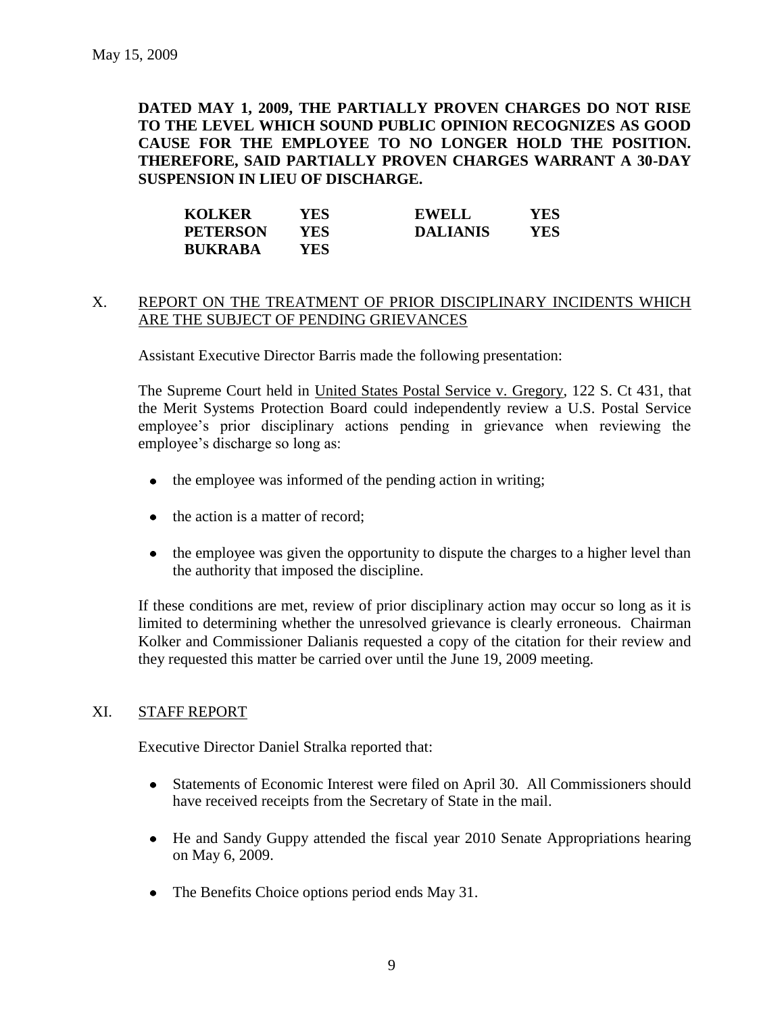**DATED MAY 1, 2009, THE PARTIALLY PROVEN CHARGES DO NOT RISE TO THE LEVEL WHICH SOUND PUBLIC OPINION RECOGNIZES AS GOOD CAUSE FOR THE EMPLOYEE TO NO LONGER HOLD THE POSITION. THEREFORE, SAID PARTIALLY PROVEN CHARGES WARRANT A 30-DAY SUSPENSION IN LIEU OF DISCHARGE.** 

| <b>KOLKER</b>   | YES. | <b>EWELL</b>    | YES |
|-----------------|------|-----------------|-----|
| <b>PETERSON</b> | YES- | <b>DALIANIS</b> | YES |
| <b>BUKRABA</b>  | YES. |                 |     |

### X. REPORT ON THE TREATMENT OF PRIOR DISCIPLINARY INCIDENTS WHICH ARE THE SUBJECT OF PENDING GRIEVANCES

Assistant Executive Director Barris made the following presentation:

The Supreme Court held in United States Postal Service v. Gregory, 122 S. Ct 431, that the Merit Systems Protection Board could independently review a U.S. Postal Service employee's prior disciplinary actions pending in grievance when reviewing the employee's discharge so long as:

- the employee was informed of the pending action in writing;  $\bullet$
- $\bullet$  the action is a matter of record:
- the employee was given the opportunity to dispute the charges to a higher level than the authority that imposed the discipline.

If these conditions are met, review of prior disciplinary action may occur so long as it is limited to determining whether the unresolved grievance is clearly erroneous. Chairman Kolker and Commissioner Dalianis requested a copy of the citation for their review and they requested this matter be carried over until the June 19, 2009 meeting.

#### XI. STAFF REPORT

Executive Director Daniel Stralka reported that:

- Statements of Economic Interest were filed on April 30. All Commissioners should have received receipts from the Secretary of State in the mail.
- He and Sandy Guppy attended the fiscal year 2010 Senate Appropriations hearing on May 6, 2009.
- The Benefits Choice options period ends May 31.